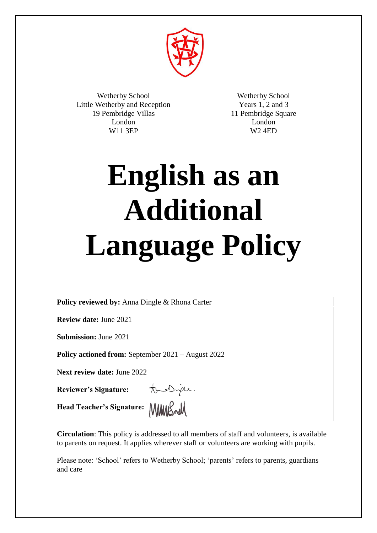

Wetherby School Little Wetherby and Reception 19 Pembridge Villas London W11 3EP

Wetherby School Years 1, 2 and 3 11 Pembridge Square London W2 4ED

# **English as an Additional Language Policy**

**Policy reviewed by:** Anna Dingle & Rhona Carter

**Review date:** June 2021

**Submission:** June 2021

**Policy actioned from:** September 2021 – August 2022

**Next review date:** June 2022

**Reviewer's Signature:**

tous Duple.

Head Teacher's Signature: **MMIS** 

**Circulation**: This policy is addressed to all members of staff and volunteers, is available to parents on request. It applies wherever staff or volunteers are working with pupils.

Please note: 'School' refers to Wetherby School; 'parents' refers to parents, guardians and care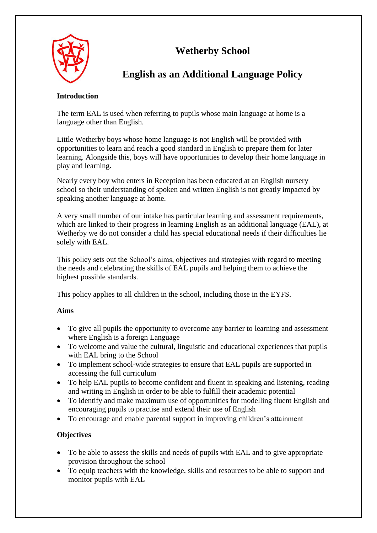

# **Wetherby School**

## **English as an Additional Language Policy**

#### **Introduction**

The term EAL is used when referring to pupils whose main language at home is a language other than English.

Little Wetherby boys whose home language is not English will be provided with opportunities to learn and reach a good standard in English to prepare them for later learning. Alongside this, boys will have opportunities to develop their home language in play and learning.

Nearly every boy who enters in Reception has been educated at an English nursery school so their understanding of spoken and written English is not greatly impacted by speaking another language at home.

A very small number of our intake has particular learning and assessment requirements, which are linked to their progress in learning English as an additional language (EAL), at Wetherby we do not consider a child has special educational needs if their difficulties lie solely with EAL.

This policy sets out the School's aims, objectives and strategies with regard to meeting the needs and celebrating the skills of EAL pupils and helping them to achieve the highest possible standards.

This policy applies to all children in the school, including those in the EYFS.

## **Aims**

- To give all pupils the opportunity to overcome any barrier to learning and assessment where English is a foreign Language
- To welcome and value the cultural, linguistic and educational experiences that pupils with EAL bring to the School
- To implement school-wide strategies to ensure that EAL pupils are supported in accessing the full curriculum
- To help EAL pupils to become confident and fluent in speaking and listening, reading and writing in English in order to be able to fulfill their academic potential
- To identify and make maximum use of opportunities for modelling fluent English and encouraging pupils to practise and extend their use of English
- To encourage and enable parental support in improving children's attainment

## **Objectives**

- To be able to assess the skills and needs of pupils with EAL and to give appropriate provision throughout the school
- To equip teachers with the knowledge, skills and resources to be able to support and monitor pupils with EAL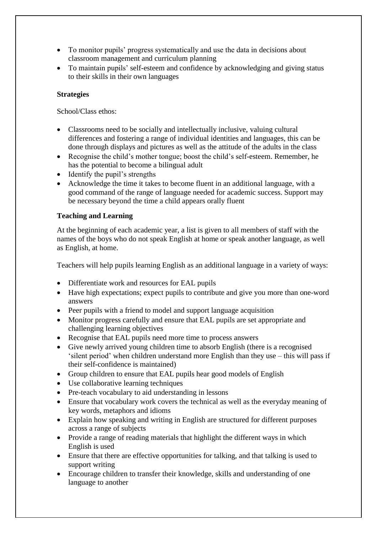- To monitor pupils' progress systematically and use the data in decisions about classroom management and curriculum planning
- To maintain pupils' self-esteem and confidence by acknowledging and giving status to their skills in their own languages

#### **Strategies**

School/Class ethos:

- Classrooms need to be socially and intellectually inclusive, valuing cultural differences and fostering a range of individual identities and languages, this can be done through displays and pictures as well as the attitude of the adults in the class
- Recognise the child's mother tongue; boost the child's self-esteem. Remember, he has the potential to become a bilingual adult
- Identify the pupil's strengths
- Acknowledge the time it takes to become fluent in an additional language, with a good command of the range of language needed for academic success. Support may be necessary beyond the time a child appears orally fluent

#### **Teaching and Learning**

At the beginning of each academic year, a list is given to all members of staff with the names of the boys who do not speak English at home or speak another language, as well as English, at home.

Teachers will help pupils learning English as an additional language in a variety of ways:

- Differentiate work and resources for EAL pupils
- Have high expectations; expect pupils to contribute and give you more than one-word answers
- Peer pupils with a friend to model and support language acquisition
- Monitor progress carefully and ensure that EAL pupils are set appropriate and challenging learning objectives
- Recognise that EAL pupils need more time to process answers
- Give newly arrived young children time to absorb English (there is a recognised 'silent period' when children understand more English than they use – this will pass if their self-confidence is maintained)
- Group children to ensure that EAL pupils hear good models of English
- Use collaborative learning techniques
- Pre-teach vocabulary to aid understanding in lessons
- Ensure that vocabulary work covers the technical as well as the everyday meaning of key words, metaphors and idioms
- Explain how speaking and writing in English are structured for different purposes across a range of subjects
- Provide a range of reading materials that highlight the different ways in which English is used
- Ensure that there are effective opportunities for talking, and that talking is used to support writing
- Encourage children to transfer their knowledge, skills and understanding of one language to another